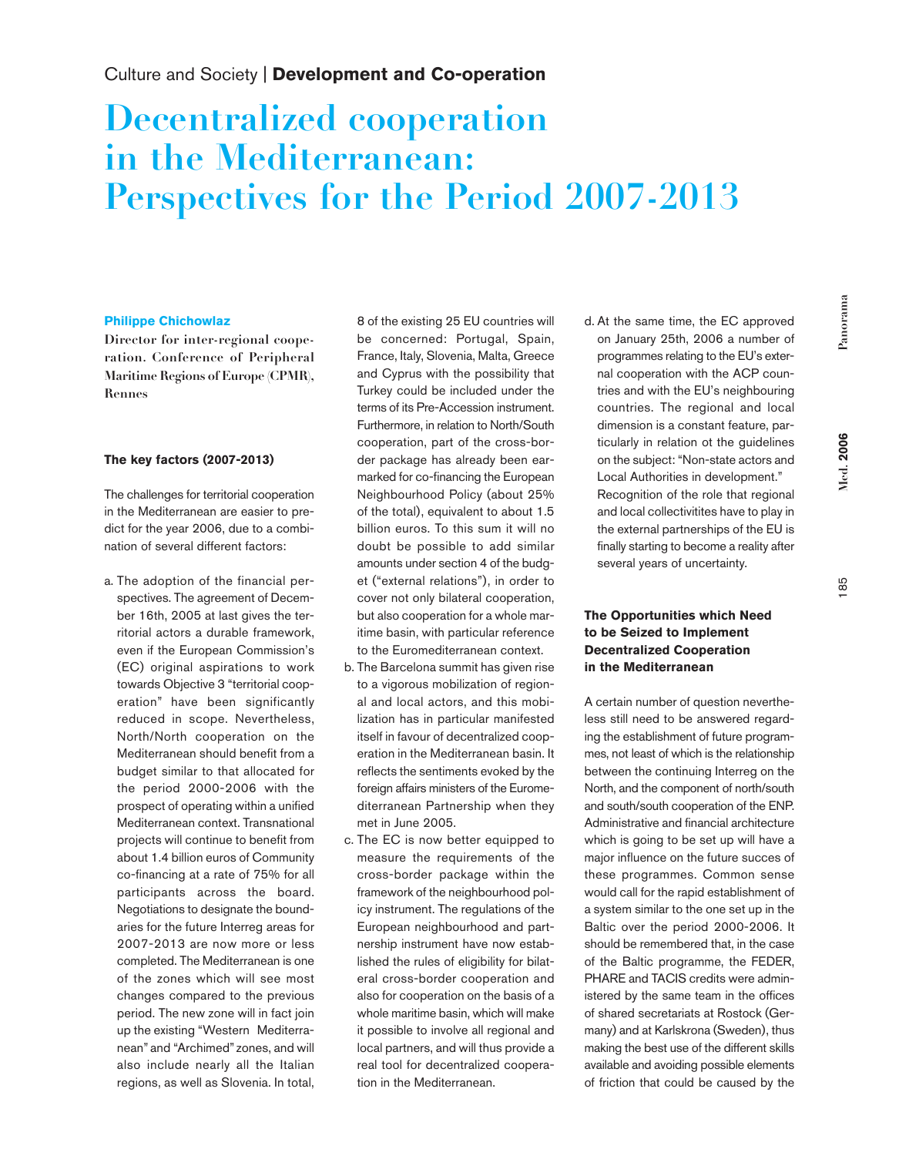## Culture and Society | **Development and Co-operation**

# **Decentralized cooperation in the Mediterranean: Perspectives for the Period 2007-2013**

#### **Philippe Chichowlaz**

**Director for inter-regional cooperation. Conference of Peripheral Maritime Regions of Europe (CPMR), Rennes**

#### **The key factors (2007-2013)**

The challenges for territorial cooperation in the Mediterranean are easier to predict for the year 2006, due to a combination of several different factors:

a. The adoption of the financial perspectives. The agreement of December 16th, 2005 at last gives the territorial actors a durable framework, even if the European Commission's (EC) original aspirations to work towards Objective 3 "territorial cooperation" have been significantly reduced in scope. Nevertheless, North/North cooperation on the Mediterranean should benefit from a budget similar to that allocated for the period 2000-2006 with the prospect of operating within a unified Mediterranean context. Transnational projects will continue to benefit from about 1.4 billion euros of Community co-financing at a rate of 75% for all participants across the board. Negotiations to designate the boundaries for the future Interreg areas for 2007-2013 are now more or less completed. The Mediterranean is one of the zones which will see most changes compared to the previous period. The new zone will in fact join up the existing "Western Mediterranean" and "Archimed" zones, and will also include nearly all the Italian regions, as well as Slovenia. In total,

8 of the existing 25 EU countries will be concerned: Portugal, Spain, France, Italy, Slovenia, Malta, Greece and Cyprus with the possibility that Turkey could be included under the terms of its Pre-Accession instrument. Furthermore, in relation to North/South cooperation, part of the cross-border package has already been earmarked for co-financing the European Neighbourhood Policy (about 25% of the total), equivalent to about 1.5 billion euros. To this sum it will no doubt be possible to add similar amounts under section 4 of the budget ("external relations"), in order to cover not only bilateral cooperation, but also cooperation for a whole maritime basin, with particular reference to the Euromediterranean context.

- b. The Barcelona summit has given rise to a vigorous mobilization of regional and local actors, and this mobilization has in particular manifested itself in favour of decentralized cooperation in the Mediterranean basin. It reflects the sentiments evoked by the foreign affairs ministers of the Euromediterranean Partnership when they met in June 2005.
- c. The EC is now better equipped to measure the requirements of the cross-border package within the framework of the neighbourhood policy instrument. The regulations of the European neighbourhood and partnership instrument have now established the rules of eligibility for bilateral cross-border cooperation and also for cooperation on the basis of a whole maritime basin, which will make it possible to involve all regional and local partners, and will thus provide a real tool for decentralized cooperation in the Mediterranean.

d. At the same time, the EC approved on January 25th, 2006 a number of programmes relating to the EU's external cooperation with the ACP countries and with the EU's neighbouring countries. The regional and local dimension is a constant feature, particularly in relation ot the guidelines on the subject: "Non-state actors and Local Authorities in development." Recognition of the role that regional and local collectivitites have to play in the external partnerships of the EU is finally starting to become a reality after several years of uncertainty.

## **The Opportunities which Need to be Seized to Implement Decentralized Cooperation in the Mediterranean**

A certain number of question nevertheless still need to be answered regarding the establishment of future programmes, not least of which is the relationship between the continuing Interreg on the North, and the component of north/south and south/south cooperation of the ENP. Administrative and financial architecture which is going to be set up will have a major influence on the future succes of these programmes. Common sense would call for the rapid establishment of a system similar to the one set up in the Baltic over the period 2000-2006. It should be remembered that, in the case of the Baltic programme, the FEDER, PHARE and TACIS credits were administered by the same team in the offices of shared secretariats at Rostock (Germany) and at Karlskrona (Sweden), thus making the best use of the different skills available and avoiding possible elements of friction that could be caused by the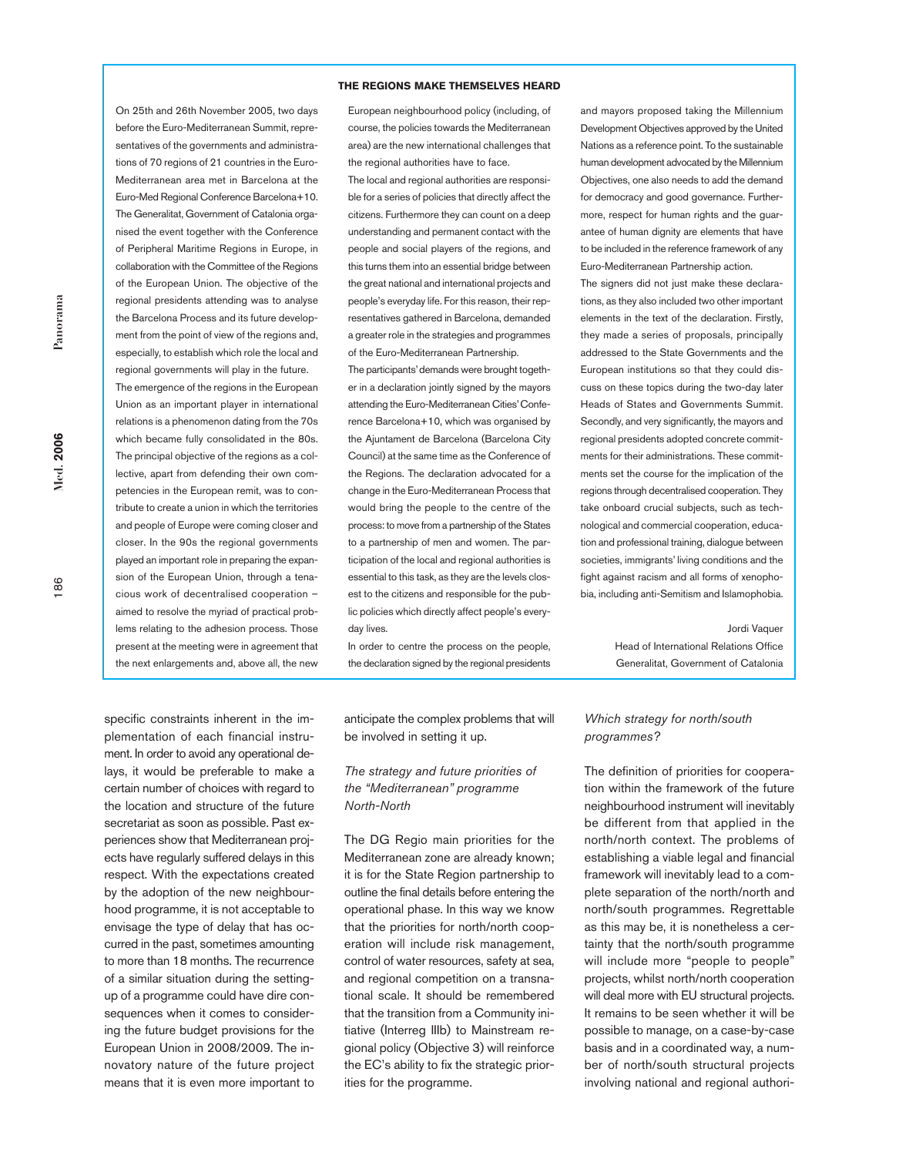#### **THE REGIONS MAKE THEMSELVES HEARD**

On 25th and 26th November 2005, two days before the Euro-Mediterranean Summit, representatives of the governments and administrations of 70 regions of 21 countries in the Euro-Mediterranean area met in Barcelona at the Euro-Med Regional Conference Barcelona+10. The Generalitat, Government of Catalonia organised the event together with the Conference of Peripheral Maritime Regions in Europe, in collaboration with the Committee of the Regions of the European Union. The objective of the regional presidents attending was to analyse the Barcelona Process and its future development from the point of view of the regions and, especially, to establish which role the local and regional governments will play in the future. The emergence of the regions in the European Union as an important player in international relations is a phenomenon dating from the 70s which became fully consolidated in the 80s. The principal objective of the regions as a collective, apart from defending their own competencies in the European remit, was to contribute to create a union in which the territories and people of Europe were coming closer and closer. In the 90s the regional governments played an important role in preparing the expansion of the European Union, through a tenacious work of decentralised cooperation – aimed to resolve the myriad of practical problems relating to the adhesion process. Those present at the meeting were in agreement that the next enlargements and, above all, the new

European neighbourhood policy (including, of course, the policies towards the Mediterranean area) are the new international challenges that the regional authorities have to face.

The local and regional authorities are responsible for a series of policies that directly affect the citizens. Furthermore they can count on a deep understanding and permanent contact with the people and social players of the regions, and this turns them into an essential bridge between the great national and international projects and people's everyday life. For this reason, their representatives gathered in Barcelona, demanded a greater role in the strategies and programmes of the Euro-Mediterranean Partnership.

The participants'demands were brought together in a declaration jointly signed by the mayors attending the Euro-Mediterranean Cities'Conference Barcelona+10, which was organised by the Ajuntament de Barcelona (Barcelona City Council) at the same time as the Conference of the Regions. The declaration advocated for a change in the Euro-Mediterranean Process that would bring the people to the centre of the process: to move from a partnership of the States to a partnership of men and women. The participation of the local and regional authorities is essential to this task, as they are the levels closest to the citizens and responsible for the public policies which directly affect people's everyday lives.

In order to centre the process on the people, the declaration signed by the regional presidents and mayors proposed taking the Millennium Development Objectives approved by the United Nations as a reference point. To the sustainable human development advocated by the Millennium Objectives, one also needs to add the demand for democracy and good governance. Furthermore, respect for human rights and the guarantee of human dignity are elements that have to be included in the reference framework of any Euro-Mediterranean Partnership action.

The signers did not just make these declarations, as they also included two other important elements in the text of the declaration. Firstly, they made a series of proposals, principally addressed to the State Governments and the European institutions so that they could discuss on these topics during the two-day later Heads of States and Governments Summit. Secondly, and very significantly, the mayors and regional presidents adopted concrete commitments for their administrations. These commitments set the course for the implication of the regions through decentralised cooperation. They take onboard crucial subjects, such as technological and commercial cooperation, education and professional training, dialogue between societies, immigrants' living conditions and the fight against racism and all forms of xenophobia, including anti-Semitism and Islamophobia.

> Jordi Vaquer Head of International Relations Office Generalitat, Government of Catalonia

specific constraints inherent in the implementation of each financial instrument. In order to avoid any operational delays, it would be preferable to make a certain number of choices with regard to the location and structure of the future secretariat as soon as possible. Past experiences show that Mediterranean projects have regularly suffered delays in this respect. With the expectations created by the adoption of the new neighbourhood programme, it is not acceptable to envisage the type of delay that has occurred in the past, sometimes amounting to more than 18 months. The recurrence of a similar situation during the settingup of a programme could have dire consequences when it comes to considering the future budget provisions for the European Union in 2008/2009. The innovatory nature of the future project means that it is even more important to

anticipate the complex problems that will be involved in setting it up.

#### *The strategy and future priorities of the "Mediterranean" programme North-North*

The DG Regio main priorities for the Mediterranean zone are already known; it is for the State Region partnership to outline the final details before entering the operational phase. In this way we know that the priorities for north/north cooperation will include risk management, control of water resources, safety at sea, and regional competition on a transnational scale. It should be remembered that the transition from a Community initiative (Interreg IIIb) to Mainstream regional policy (Objective 3) will reinforce the EC's ability to fix the strategic priorities for the programme.

#### *Which strategy for north/south programmes?*

The definition of priorities for cooperation within the framework of the future neighbourhood instrument will inevitably be different from that applied in the north/north context. The problems of establishing a viable legal and financial framework will inevitably lead to a complete separation of the north/north and north/south programmes. Regrettable as this may be, it is nonetheless a certainty that the north/south programme will include more "people to people" projects, whilst north/north cooperation will deal more with EU structural projects. It remains to be seen whether it will be possible to manage, on a case-by-case basis and in a coordinated way, a number of north/south structural projects involving national and regional authori-